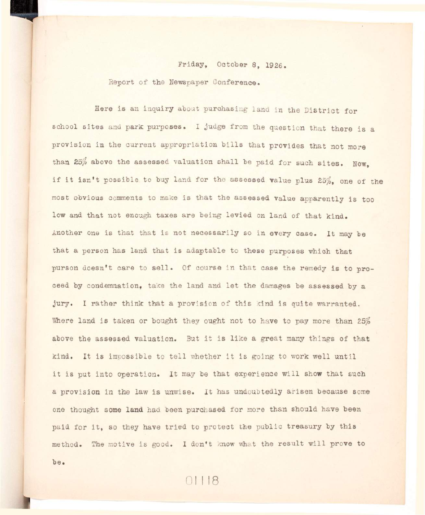## Friday, October 8, 1926.

Report of the Newspaper Conference.

Here is an inquiry about purchasing land in the District for school sites and park purposes. I judge from the question that there is a provision in the current appropriation bills that provides that not more than 25% above the assessed valuation shall be paid for such sites. Now. if it isn't possible to buy land for the assessed value plus 25%, one of the most obvious comments to make is that the assessed value apparently is too **low and that not enough taxes are being levied on land of that kind.**  Another one is that that is not necessarily so in every case. It may be that a person has land that is adaptable to these purposes which that purson doesn't care to sell. Of course in that case the remedy is to proceed by condemnation, take the land and let the damages be assessed by a jury. I rather think that a provision of this kind is quite warranted. Where land is taken or bought they ought not to have to pay more than 25% above the assessed valuation. But it is like a great many things of that kind. It is impossible to tell whether it is going to work well until it is put into operation. It may be that experience will show that such a provision in the law is unwise. It has undoubtedly arisen because some **one thought some land had been purchased for more than should have been**  paid for it, so they have tried to protect the public treasury by this **method. The motive i s good. I don't know what the result wil l prove to** 

 $01118$ 

**be.**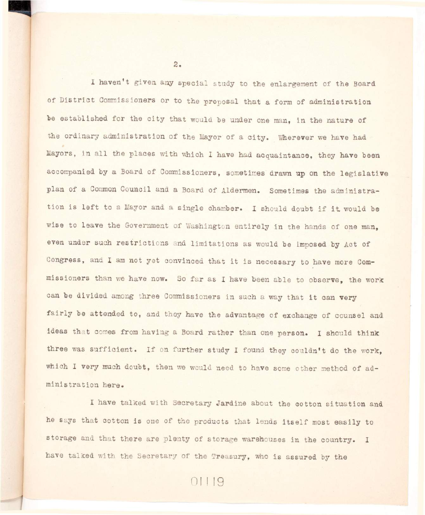I haven't given any special study to the enlargement of the Board of District Commissioners or to the proposal that a form of administration be established for the city that would be under one man, in the nature of **the ordinary administration of the Mayor of a city . Wherever we have had**  Mayors, in all the places with which I have had acquaintance, they have been accompanied by a Board of Commissioners, sometimes drawn up on the legislative plan of a Common Council and a Board of Aldermen. Sometimes the administration is left to a Mayor and a single chamber. I should doubt if it would be wise to leave the Government of Washington entirely in the hands of one man, even under such restrictions and limitations as would be imposed by Act of Congress, and I am not yet convinced that it is necessary to have more Commissioners than we have now. So far as I have been able to observe, the work can be divided among three Commissioners in such a way that it can very fairly be attended to, and they have the advantage of exchange of counsel and **ideas that comes from having a Board rather than one person. I should think**  three was sufficient. If on further study I found they couldn't do the work, which I very much doubt, then we would need to have some other method of ad**ministration here.** 

I have talked with Secretary Jardine about the cotton situation and he says that cotton is one of the products that lends itself most easily to storage and that there are plenty of storage warehouses in the country. I have talked with the Secretary of the Treasury, who is assured by the

 $2.$ 

01119